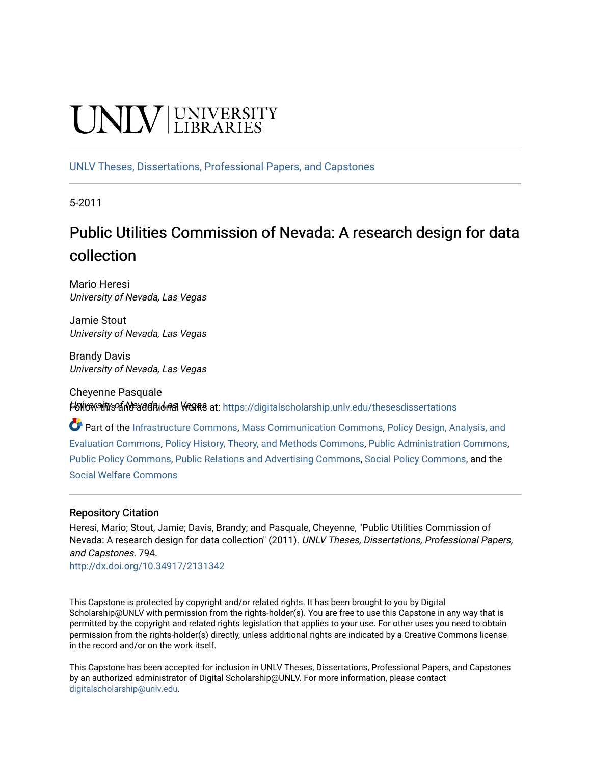# INIV UNIVERSITY

[UNLV Theses, Dissertations, Professional Papers, and Capstones](https://digitalscholarship.unlv.edu/thesesdissertations)

5-2011

# Public Utilities Commission of Nevada: A research design for data collection

Mario Heresi University of Nevada, Las Vegas

Jamie Stout University of Nevada, Las Vegas

Brandy Davis University of Nevada, Las Vegas

Cheyenne Pasquale Follow This and additional works at: https://digitalscholarship.unly.edu/thesesdissertations

Part of the [Infrastructure Commons](http://network.bepress.com/hgg/discipline/1066?utm_source=digitalscholarship.unlv.edu%2Fthesesdissertations%2F794&utm_medium=PDF&utm_campaign=PDFCoverPages), [Mass Communication Commons,](http://network.bepress.com/hgg/discipline/334?utm_source=digitalscholarship.unlv.edu%2Fthesesdissertations%2F794&utm_medium=PDF&utm_campaign=PDFCoverPages) Policy Design, Analysis, and [Evaluation Commons,](http://network.bepress.com/hgg/discipline/1032?utm_source=digitalscholarship.unlv.edu%2Fthesesdissertations%2F794&utm_medium=PDF&utm_campaign=PDFCoverPages) [Policy History, Theory, and Methods Commons,](http://network.bepress.com/hgg/discipline/1036?utm_source=digitalscholarship.unlv.edu%2Fthesesdissertations%2F794&utm_medium=PDF&utm_campaign=PDFCoverPages) [Public Administration Commons,](http://network.bepress.com/hgg/discipline/398?utm_source=digitalscholarship.unlv.edu%2Fthesesdissertations%2F794&utm_medium=PDF&utm_campaign=PDFCoverPages) [Public Policy Commons](http://network.bepress.com/hgg/discipline/400?utm_source=digitalscholarship.unlv.edu%2Fthesesdissertations%2F794&utm_medium=PDF&utm_campaign=PDFCoverPages), [Public Relations and Advertising Commons,](http://network.bepress.com/hgg/discipline/336?utm_source=digitalscholarship.unlv.edu%2Fthesesdissertations%2F794&utm_medium=PDF&utm_campaign=PDFCoverPages) [Social Policy Commons](http://network.bepress.com/hgg/discipline/1030?utm_source=digitalscholarship.unlv.edu%2Fthesesdissertations%2F794&utm_medium=PDF&utm_campaign=PDFCoverPages), and the [Social Welfare Commons](http://network.bepress.com/hgg/discipline/401?utm_source=digitalscholarship.unlv.edu%2Fthesesdissertations%2F794&utm_medium=PDF&utm_campaign=PDFCoverPages)

#### Repository Citation

Heresi, Mario; Stout, Jamie; Davis, Brandy; and Pasquale, Cheyenne, "Public Utilities Commission of Nevada: A research design for data collection" (2011). UNLV Theses, Dissertations, Professional Papers, and Capstones. 794.

<http://dx.doi.org/10.34917/2131342>

This Capstone is protected by copyright and/or related rights. It has been brought to you by Digital Scholarship@UNLV with permission from the rights-holder(s). You are free to use this Capstone in any way that is permitted by the copyright and related rights legislation that applies to your use. For other uses you need to obtain permission from the rights-holder(s) directly, unless additional rights are indicated by a Creative Commons license in the record and/or on the work itself.

This Capstone has been accepted for inclusion in UNLV Theses, Dissertations, Professional Papers, and Capstones by an authorized administrator of Digital Scholarship@UNLV. For more information, please contact [digitalscholarship@unlv.edu](mailto:digitalscholarship@unlv.edu).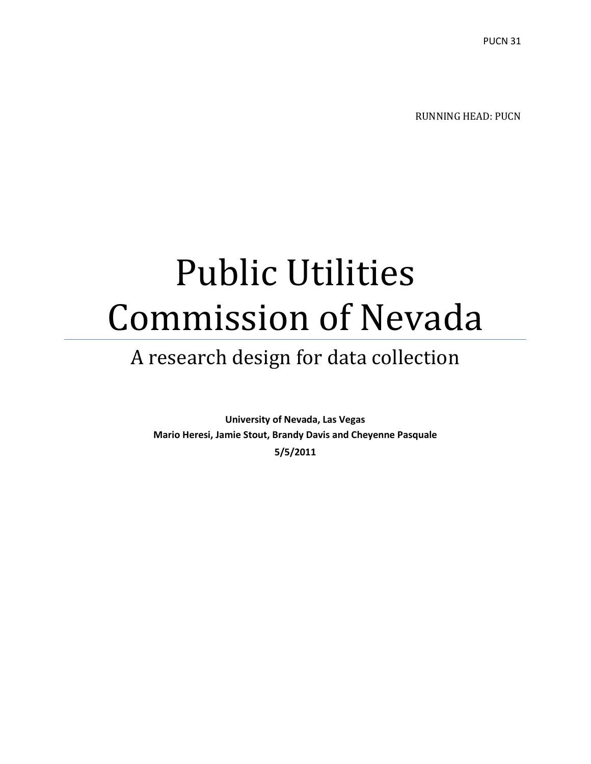RUNNING HEAD: PUCN

# Public Utilities Commission of Nevada

# A research design for data collection

**University of Nevada, Las Vegas Mario Heresi, Jamie Stout, Brandy Davis and Cheyenne Pasquale 5/5/2011**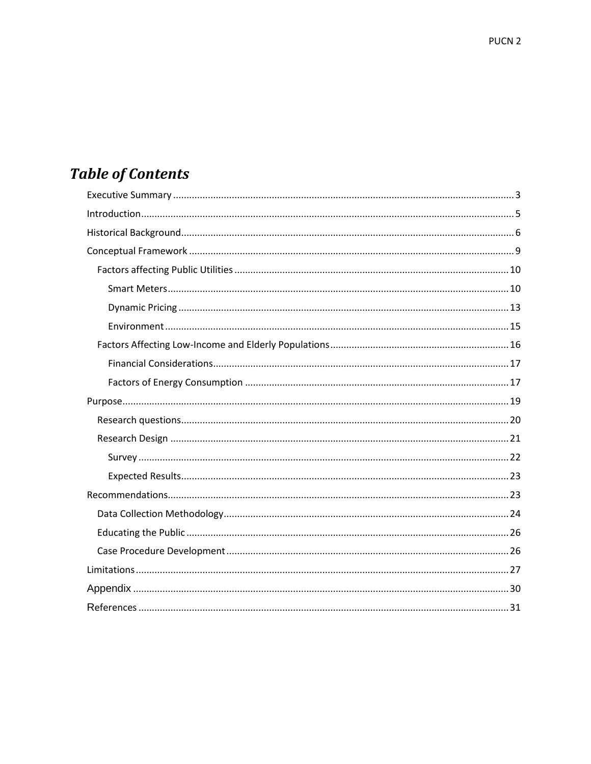# **Table of Contents**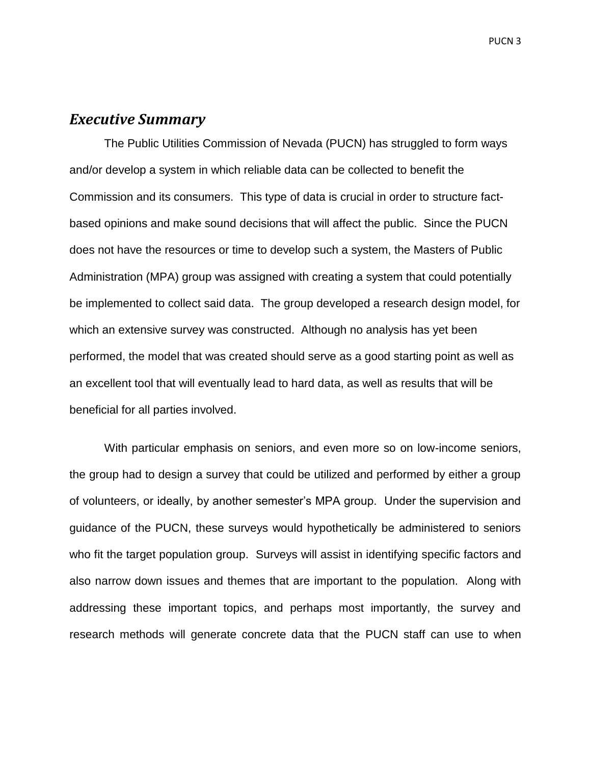## <span id="page-3-0"></span>*Executive Summary*

The Public Utilities Commission of Nevada (PUCN) has struggled to form ways and/or develop a system in which reliable data can be collected to benefit the Commission and its consumers. This type of data is crucial in order to structure factbased opinions and make sound decisions that will affect the public. Since the PUCN does not have the resources or time to develop such a system, the Masters of Public Administration (MPA) group was assigned with creating a system that could potentially be implemented to collect said data. The group developed a research design model, for which an extensive survey was constructed. Although no analysis has yet been performed, the model that was created should serve as a good starting point as well as an excellent tool that will eventually lead to hard data, as well as results that will be beneficial for all parties involved.

With particular emphasis on seniors, and even more so on low-income seniors, the group had to design a survey that could be utilized and performed by either a group of volunteers, or ideally, by another semester's MPA group. Under the supervision and guidance of the PUCN, these surveys would hypothetically be administered to seniors who fit the target population group. Surveys will assist in identifying specific factors and also narrow down issues and themes that are important to the population. Along with addressing these important topics, and perhaps most importantly, the survey and research methods will generate concrete data that the PUCN staff can use to when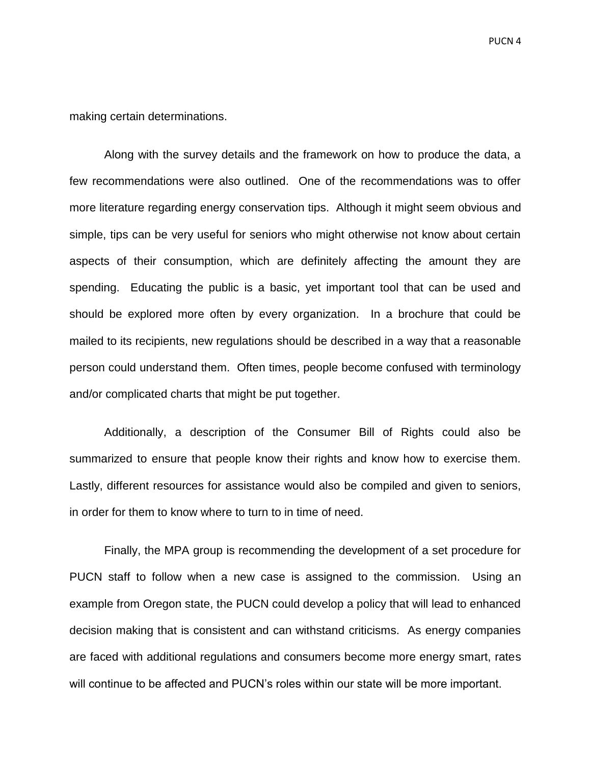making certain determinations.

Along with the survey details and the framework on how to produce the data, a few recommendations were also outlined. One of the recommendations was to offer more literature regarding energy conservation tips. Although it might seem obvious and simple, tips can be very useful for seniors who might otherwise not know about certain aspects of their consumption, which are definitely affecting the amount they are spending. Educating the public is a basic, yet important tool that can be used and should be explored more often by every organization. In a brochure that could be mailed to its recipients, new regulations should be described in a way that a reasonable person could understand them. Often times, people become confused with terminology and/or complicated charts that might be put together.

Additionally, a description of the Consumer Bill of Rights could also be summarized to ensure that people know their rights and know how to exercise them. Lastly, different resources for assistance would also be compiled and given to seniors, in order for them to know where to turn to in time of need.

Finally, the MPA group is recommending the development of a set procedure for PUCN staff to follow when a new case is assigned to the commission. Using an example from Oregon state, the PUCN could develop a policy that will lead to enhanced decision making that is consistent and can withstand criticisms. As energy companies are faced with additional regulations and consumers become more energy smart, rates will continue to be affected and PUCN's roles within our state will be more important.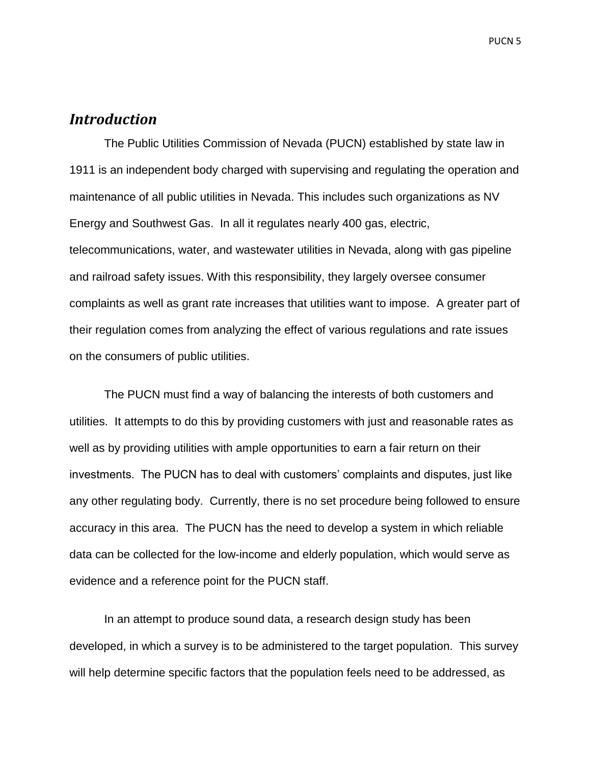# <span id="page-5-0"></span>*Introduction*

The Public Utilities Commission of Nevada (PUCN) established by state law in 1911 is an independent body charged with supervising and regulating the operation and maintenance of all public utilities in Nevada. This includes such organizations as NV Energy and Southwest Gas. In all it regulates nearly 400 gas, electric, telecommunications, water, and wastewater utilities in Nevada, along with gas pipeline and railroad safety issues. With this responsibility, they largely oversee consumer complaints as well as grant rate increases that utilities want to impose. A greater part of their regulation comes from analyzing the effect of various regulations and rate issues on the consumers of public utilities.

The PUCN must find a way of balancing the interests of both customers and utilities. It attempts to do this by providing customers with just and reasonable rates as well as by providing utilities with ample opportunities to earn a fair return on their investments. The PUCN has to deal with customers' complaints and disputes, just like any other regulating body. Currently, there is no set procedure being followed to ensure accuracy in this area. The PUCN has the need to develop a system in which reliable data can be collected for the low-income and elderly population, which would serve as evidence and a reference point for the PUCN staff.

In an attempt to produce sound data, a research design study has been developed, in which a survey is to be administered to the target population. This survey will help determine specific factors that the population feels need to be addressed, as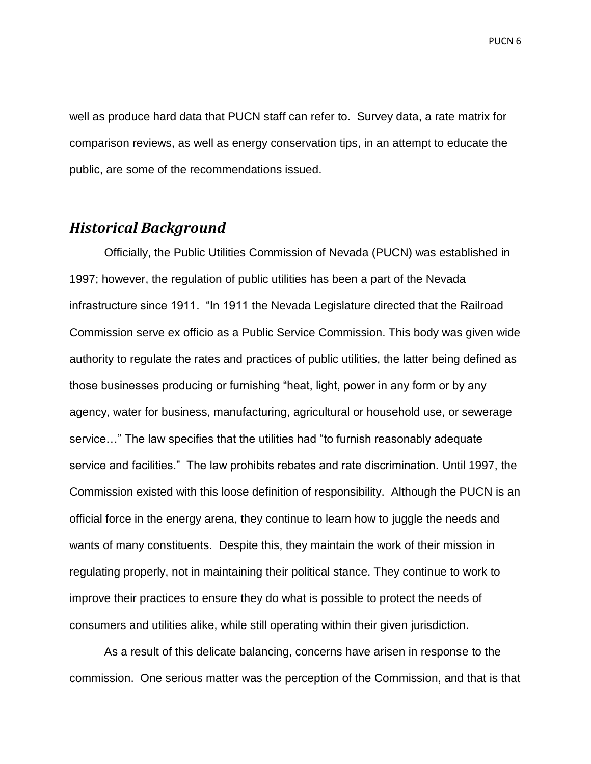well as produce hard data that PUCN staff can refer to. Survey data, a rate matrix for comparison reviews, as well as energy conservation tips, in an attempt to educate the public, are some of the recommendations issued.

### <span id="page-6-0"></span>*Historical Background*

Officially, the Public Utilities Commission of Nevada (PUCN) was established in 1997; however, the regulation of public utilities has been a part of the Nevada infrastructure since 1911. "In 1911 the Nevada Legislature directed that the Railroad Commission serve ex officio as a Public Service Commission. This body was given wide authority to regulate the rates and practices of public utilities, the latter being defined as those businesses producing or furnishing "heat, light, power in any form or by any agency, water for business, manufacturing, agricultural or household use, or sewerage service..." The law specifies that the utilities had "to furnish reasonably adequate service and facilities.‖ The law prohibits rebates and rate discrimination. Until 1997, the Commission existed with this loose definition of responsibility. Although the PUCN is an official force in the energy arena, they continue to learn how to juggle the needs and wants of many constituents. Despite this, they maintain the work of their mission in regulating properly, not in maintaining their political stance. They continue to work to improve their practices to ensure they do what is possible to protect the needs of consumers and utilities alike, while still operating within their given jurisdiction.

As a result of this delicate balancing, concerns have arisen in response to the commission. One serious matter was the perception of the Commission, and that is that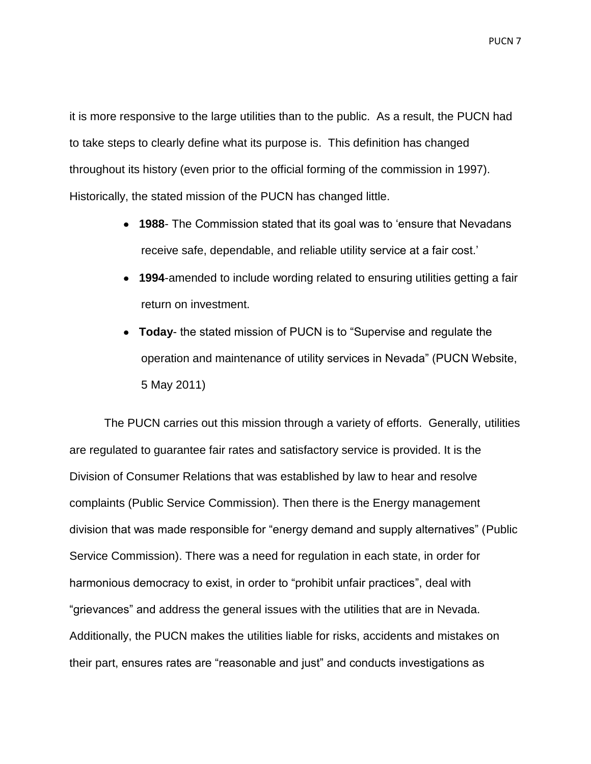it is more responsive to the large utilities than to the public. As a result, the PUCN had to take steps to clearly define what its purpose is. This definition has changed throughout its history (even prior to the official forming of the commission in 1997). Historically, the stated mission of the PUCN has changed little.

- **1988** The Commission stated that its goal was to 'ensure that Nevadans' receive safe, dependable, and reliable utility service at a fair cost.'
- **1994**-amended to include wording related to ensuring utilities getting a fair return on investment.
- Today- the stated mission of PUCN is to "Supervise and regulate the operation and maintenance of utility services in Nevada‖ (PUCN Website, 5 May 2011)

The PUCN carries out this mission through a variety of efforts. Generally, utilities are regulated to guarantee fair rates and satisfactory service is provided. It is the Division of Consumer Relations that was established by law to hear and resolve complaints (Public Service Commission). Then there is the Energy management division that was made responsible for "energy demand and supply alternatives" (Public Service Commission). There was a need for regulation in each state, in order for harmonious democracy to exist, in order to "prohibit unfair practices", deal with ―grievances‖ and address the general issues with the utilities that are in Nevada. Additionally, the PUCN makes the utilities liable for risks, accidents and mistakes on their part, ensures rates are "reasonable and just" and conducts investigations as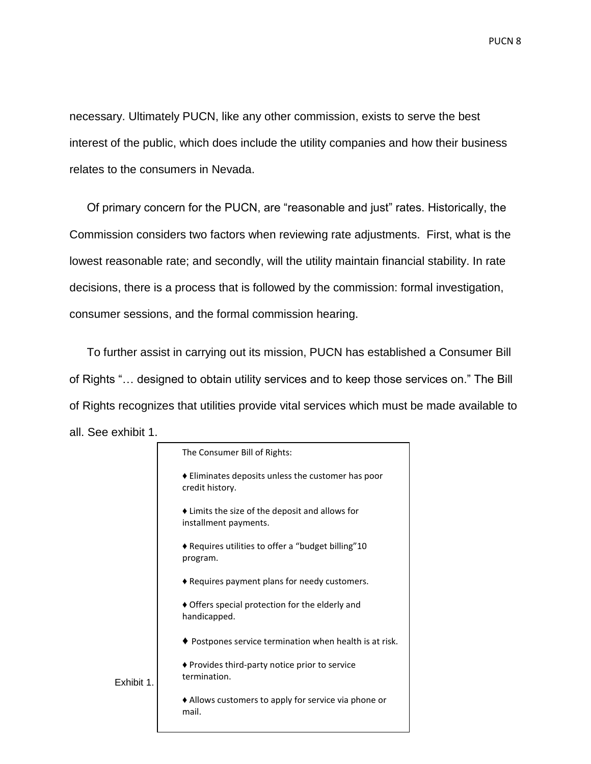necessary. Ultimately PUCN, like any other commission, exists to serve the best interest of the public, which does include the utility companies and how their business relates to the consumers in Nevada.

Of primary concern for the PUCN, are "reasonable and just" rates. Historically, the Commission considers two factors when reviewing rate adjustments. First, what is the lowest reasonable rate; and secondly, will the utility maintain financial stability. In rate decisions, there is a process that is followed by the commission: formal investigation, consumer sessions, and the formal commission hearing.

To further assist in carrying out its mission, PUCN has established a Consumer Bill of Rights "... designed to obtain utility services and to keep those services on." The Bill of Rights recognizes that utilities provide vital services which must be made available to all. See exhibit 1.

|            | The Consumer Bill of Rights:                                                           |
|------------|----------------------------------------------------------------------------------------|
|            | $\blacklozenge$ Eliminates deposits unless the customer has poor<br>credit history.    |
|            | $\blacklozenge$ Limits the size of the deposit and allows for<br>installment payments. |
|            | ♦ Requires utilities to offer a "budget billing"10<br>program.                         |
|            | ◆ Requires payment plans for needy customers.                                          |
|            | ♦ Offers special protection for the elderly and<br>handicapped.                        |
|            | $\blacklozenge$ Postpones service termination when health is at risk.                  |
| Exhibit 1. | ♦ Provides third-party notice prior to service<br>termination.                         |
|            | $\triangle$ Allows customers to apply for service via phone or<br>mail.                |
|            |                                                                                        |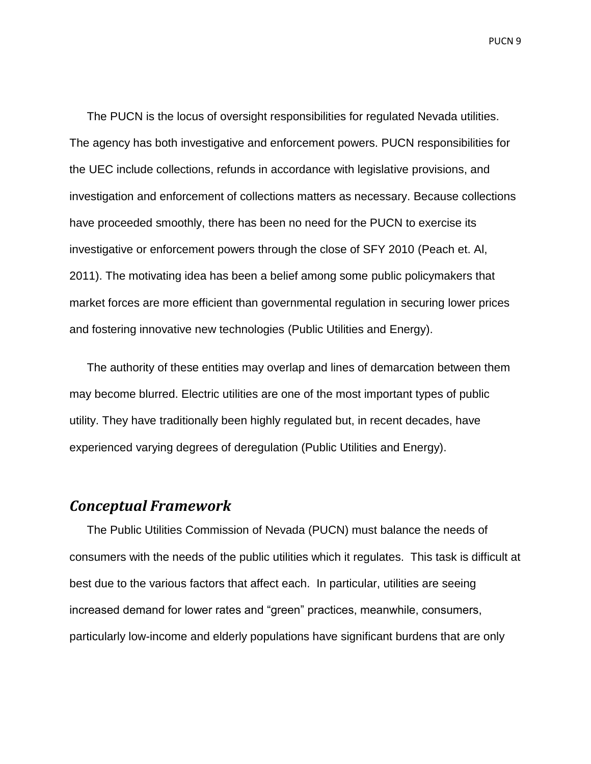The PUCN is the locus of oversight responsibilities for regulated Nevada utilities. The agency has both investigative and enforcement powers. PUCN responsibilities for the UEC include collections, refunds in accordance with legislative provisions, and investigation and enforcement of collections matters as necessary. Because collections have proceeded smoothly, there has been no need for the PUCN to exercise its investigative or enforcement powers through the close of SFY 2010 (Peach et. Al, 2011). The motivating idea has been a belief among some public policymakers that market forces are more efficient than governmental regulation in securing lower prices and fostering innovative new technologies (Public Utilities and Energy).

The authority of these entities may overlap and lines of demarcation between them may become blurred. Electric utilities are one of the most important types of public utility. They have traditionally been highly regulated but, in recent decades, have experienced varying degrees of deregulation (Public Utilities and Energy).

# <span id="page-9-0"></span>*Conceptual Framework*

The Public Utilities Commission of Nevada (PUCN) must balance the needs of consumers with the needs of the public utilities which it regulates. This task is difficult at best due to the various factors that affect each. In particular, utilities are seeing increased demand for lower rates and "green" practices, meanwhile, consumers, particularly low-income and elderly populations have significant burdens that are only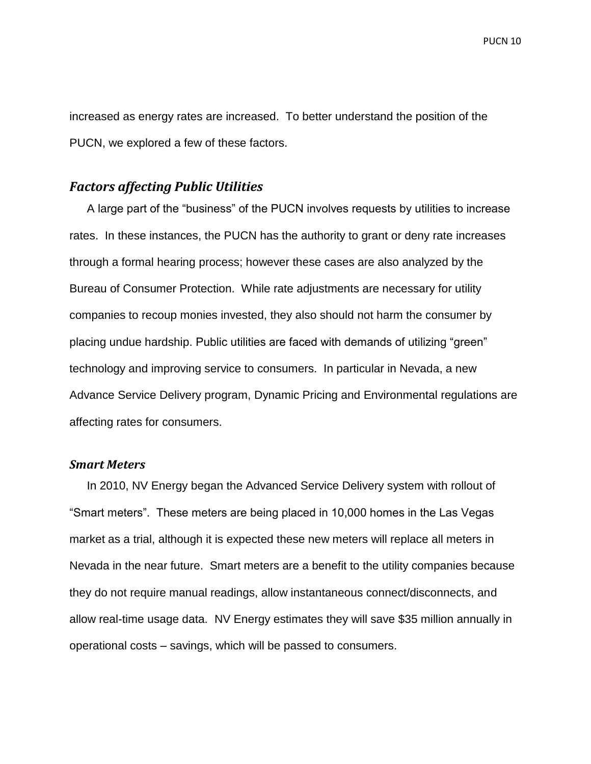increased as energy rates are increased. To better understand the position of the PUCN, we explored a few of these factors.

#### <span id="page-10-0"></span>*Factors affecting Public Utilities*

A large part of the "business" of the PUCN involves requests by utilities to increase rates. In these instances, the PUCN has the authority to grant or deny rate increases through a formal hearing process; however these cases are also analyzed by the Bureau of Consumer Protection. While rate adjustments are necessary for utility companies to recoup monies invested, they also should not harm the consumer by placing undue hardship. Public utilities are faced with demands of utilizing "green" technology and improving service to consumers. In particular in Nevada, a new Advance Service Delivery program, Dynamic Pricing and Environmental regulations are affecting rates for consumers.

#### <span id="page-10-1"></span>*Smart Meters*

In 2010, NV Energy began the Advanced Service Delivery system with rollout of ―Smart meters‖. These meters are being placed in 10,000 homes in the Las Vegas market as a trial, although it is expected these new meters will replace all meters in Nevada in the near future. Smart meters are a benefit to the utility companies because they do not require manual readings, allow instantaneous connect/disconnects, and allow real-time usage data. NV Energy estimates they will save \$35 million annually in operational costs – savings, which will be passed to consumers.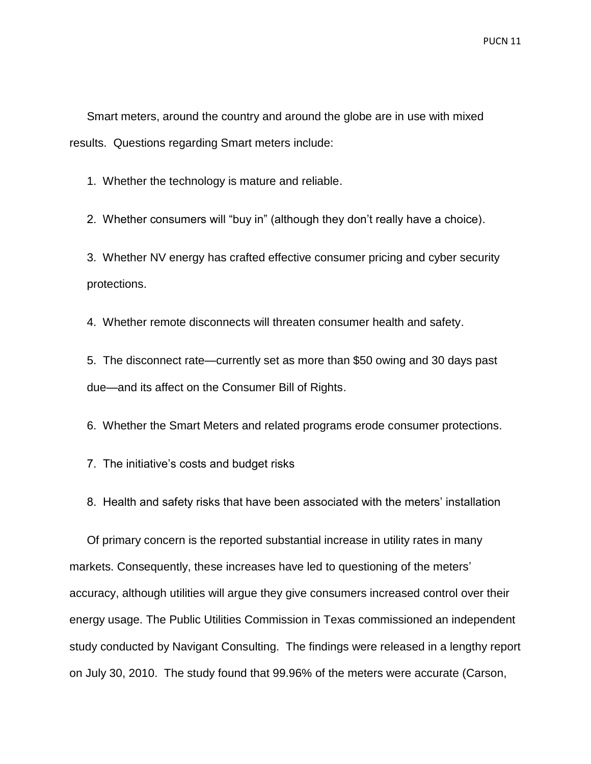Smart meters, around the country and around the globe are in use with mixed results. Questions regarding Smart meters include:

1. Whether the technology is mature and reliable.

2. Whether consumers will "buy in" (although they don't really have a choice).

3. Whether NV energy has crafted effective consumer pricing and cyber security protections.

4. Whether remote disconnects will threaten consumer health and safety.

5. The disconnect rate—currently set as more than \$50 owing and 30 days past due—and its affect on the Consumer Bill of Rights.

6. Whether the Smart Meters and related programs erode consumer protections.

- 7. The initiative's costs and budget risks
- 8. Health and safety risks that have been associated with the meters' installation

Of primary concern is the reported substantial increase in utility rates in many markets. Consequently, these increases have led to questioning of the meters' accuracy, although utilities will argue they give consumers increased control over their energy usage. The Public Utilities Commission in Texas commissioned an independent study conducted by Navigant Consulting. The findings were released in a lengthy report on July 30, 2010. The study found that 99.96% of the meters were accurate (Carson,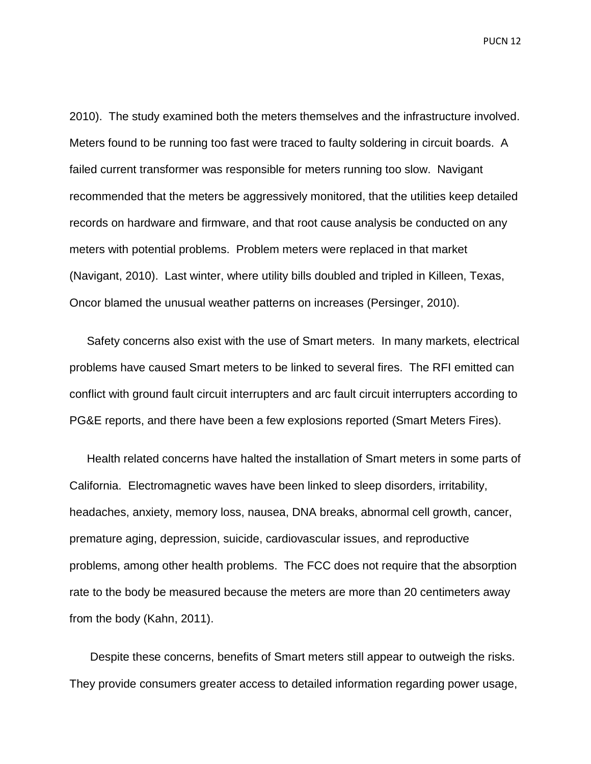2010). The study examined both the meters themselves and the infrastructure involved. Meters found to be running too fast were traced to faulty soldering in circuit boards. A failed current transformer was responsible for meters running too slow. Navigant recommended that the meters be aggressively monitored, that the utilities keep detailed records on hardware and firmware, and that root cause analysis be conducted on any meters with potential problems. Problem meters were replaced in that market (Navigant, 2010). Last winter, where utility bills doubled and tripled in Killeen, Texas, Oncor blamed the unusual weather patterns on increases (Persinger, 2010).

Safety concerns also exist with the use of Smart meters. In many markets, electrical problems have caused Smart meters to be linked to several fires. The RFI emitted can conflict with ground fault circuit interrupters and arc fault circuit interrupters according to PG&E reports, and there have been a few explosions reported (Smart Meters Fires).

Health related concerns have halted the installation of Smart meters in some parts of California. Electromagnetic waves have been linked to sleep disorders, irritability, headaches, anxiety, memory loss, nausea, DNA breaks, abnormal cell growth, cancer, premature aging, depression, suicide, cardiovascular issues, and reproductive problems, among other health problems. The FCC does not require that the absorption rate to the body be measured because the meters are more than 20 centimeters away from the body (Kahn, 2011).

Despite these concerns, benefits of Smart meters still appear to outweigh the risks. They provide consumers greater access to detailed information regarding power usage,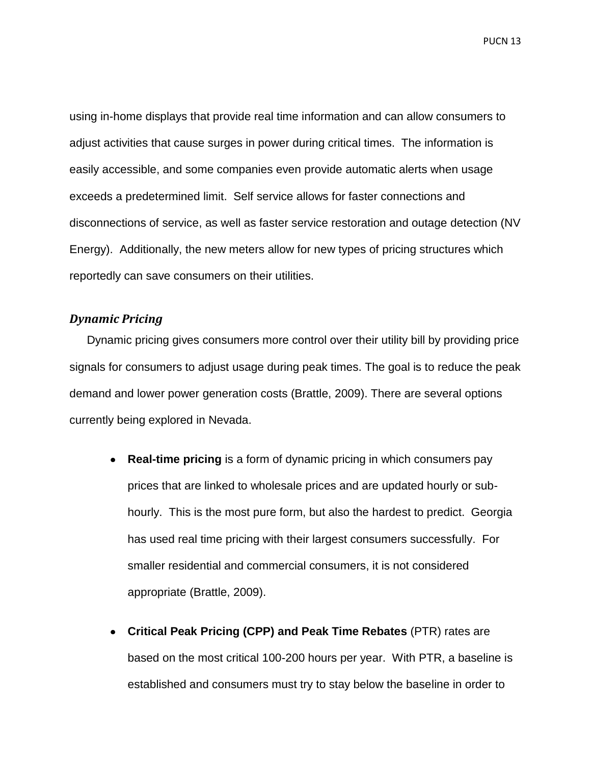using in-home displays that provide real time information and can allow consumers to adjust activities that cause surges in power during critical times. The information is easily accessible, and some companies even provide automatic alerts when usage exceeds a predetermined limit. Self service allows for faster connections and disconnections of service, as well as faster service restoration and outage detection (NV Energy). Additionally, the new meters allow for new types of pricing structures which reportedly can save consumers on their utilities.

#### <span id="page-13-0"></span>*Dynamic Pricing*

Dynamic pricing gives consumers more control over their utility bill by providing price signals for consumers to adjust usage during peak times. The goal is to reduce the peak demand and lower power generation costs (Brattle, 2009). There are several options currently being explored in Nevada.

- **Real-time pricing** is a form of dynamic pricing in which consumers pay prices that are linked to wholesale prices and are updated hourly or subhourly. This is the most pure form, but also the hardest to predict. Georgia has used real time pricing with their largest consumers successfully. For smaller residential and commercial consumers, it is not considered appropriate (Brattle, 2009).
- **Critical Peak Pricing (CPP) and Peak Time Rebates** (PTR) rates are based on the most critical 100-200 hours per year. With PTR, a baseline is established and consumers must try to stay below the baseline in order to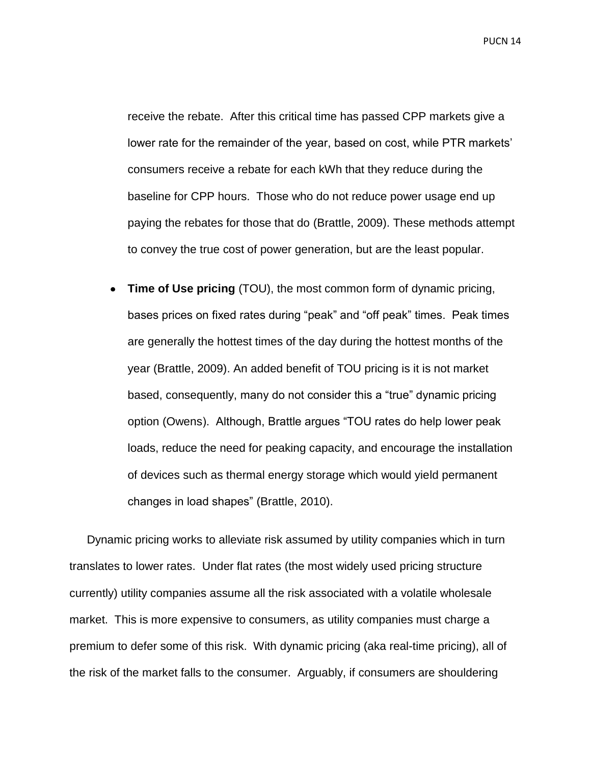receive the rebate. After this critical time has passed CPP markets give a lower rate for the remainder of the year, based on cost, while PTR markets' consumers receive a rebate for each kWh that they reduce during the baseline for CPP hours. Those who do not reduce power usage end up paying the rebates for those that do (Brattle, 2009). These methods attempt to convey the true cost of power generation, but are the least popular.

**Time of Use pricing** (TOU), the most common form of dynamic pricing, bases prices on fixed rates during "peak" and "off peak" times. Peak times are generally the hottest times of the day during the hottest months of the year (Brattle, 2009). An added benefit of TOU pricing is it is not market based, consequently, many do not consider this a "true" dynamic pricing option (Owens). Although, Brattle argues "TOU rates do help lower peak loads, reduce the need for peaking capacity, and encourage the installation of devices such as thermal energy storage which would yield permanent changes in load shapes‖ (Brattle, 2010).

Dynamic pricing works to alleviate risk assumed by utility companies which in turn translates to lower rates. Under flat rates (the most widely used pricing structure currently) utility companies assume all the risk associated with a volatile wholesale market. This is more expensive to consumers, as utility companies must charge a premium to defer some of this risk. With dynamic pricing (aka real-time pricing), all of the risk of the market falls to the consumer. Arguably, if consumers are shouldering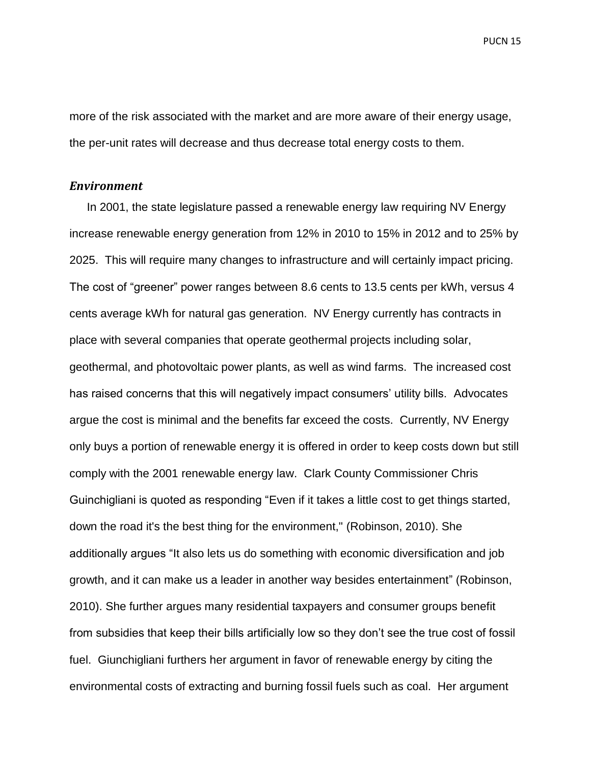more of the risk associated with the market and are more aware of their energy usage, the per-unit rates will decrease and thus decrease total energy costs to them.

#### <span id="page-15-0"></span>*Environment*

In 2001, the state legislature passed a renewable energy law requiring NV Energy increase renewable energy generation from 12% in 2010 to 15% in 2012 and to 25% by 2025. This will require many changes to infrastructure and will certainly impact pricing. The cost of "greener" power ranges between 8.6 cents to 13.5 cents per kWh, versus 4 cents average kWh for natural gas generation. NV Energy currently has contracts in place with several companies that operate geothermal projects including solar, geothermal, and photovoltaic power plants, as well as wind farms. The increased cost has raised concerns that this will negatively impact consumers' utility bills. Advocates argue the cost is minimal and the benefits far exceed the costs. Currently, NV Energy only buys a portion of renewable energy it is offered in order to keep costs down but still comply with the 2001 renewable energy law. Clark County Commissioner Chris Guinchigliani is quoted as responding "Even if it takes a little cost to get things started, down the road it's the best thing for the environment," (Robinson, 2010). She additionally argues "It also lets us do something with economic diversification and job growth, and it can make us a leader in another way besides entertainment" (Robinson, 2010). She further argues many residential taxpayers and consumer groups benefit from subsidies that keep their bills artificially low so they don't see the true cost of fossil fuel. Giunchigliani furthers her argument in favor of renewable energy by citing the environmental costs of extracting and burning fossil fuels such as coal. Her argument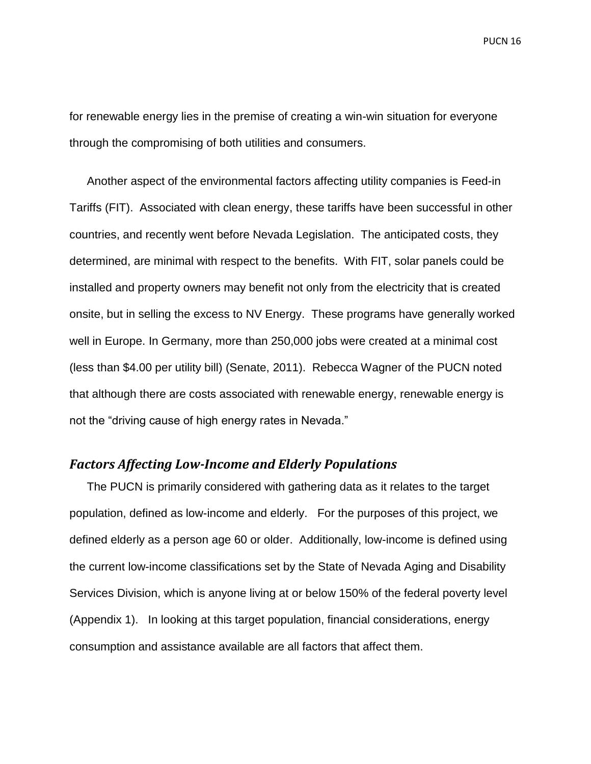for renewable energy lies in the premise of creating a win-win situation for everyone through the compromising of both utilities and consumers.

Another aspect of the environmental factors affecting utility companies is Feed-in Tariffs (FIT). Associated with clean energy, these tariffs have been successful in other countries, and recently went before Nevada Legislation. The anticipated costs, they determined, are minimal with respect to the benefits. With FIT, solar panels could be installed and property owners may benefit not only from the electricity that is created onsite, but in selling the excess to NV Energy. These programs have generally worked well in Europe. In Germany, more than 250,000 jobs were created at a minimal cost (less than \$4.00 per utility bill) (Senate, 2011). Rebecca Wagner of the PUCN noted that although there are costs associated with renewable energy, renewable energy is not the "driving cause of high energy rates in Nevada."

#### <span id="page-16-0"></span>*Factors Affecting Low-Income and Elderly Populations*

The PUCN is primarily considered with gathering data as it relates to the target population, defined as low-income and elderly. For the purposes of this project, we defined elderly as a person age 60 or older. Additionally, low-income is defined using the current low-income classifications set by the State of Nevada Aging and Disability Services Division, which is anyone living at or below 150% of the federal poverty level (Appendix 1). In looking at this target population, financial considerations, energy consumption and assistance available are all factors that affect them.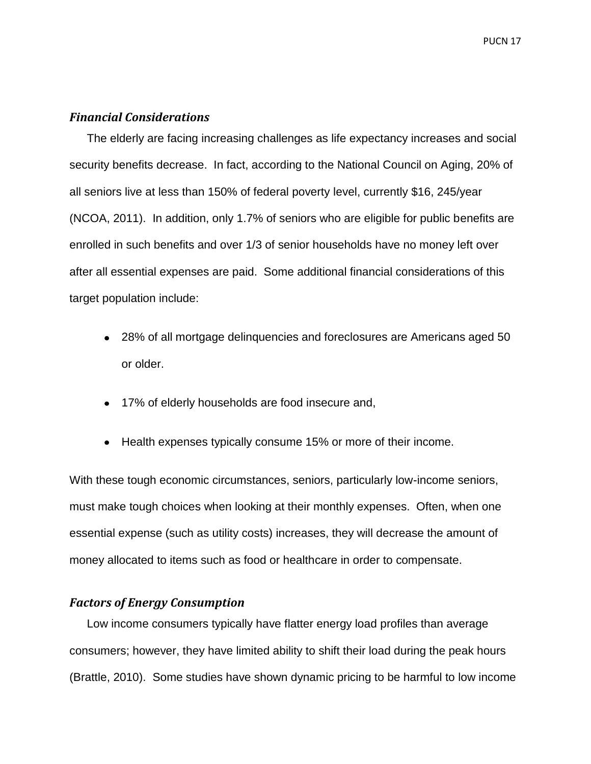#### <span id="page-17-0"></span>*Financial Considerations*

The elderly are facing increasing challenges as life expectancy increases and social security benefits decrease. In fact, according to the National Council on Aging, 20% of all seniors live at less than 150% of federal poverty level, currently \$16, 245/year (NCOA, 2011). In addition, only 1.7% of seniors who are eligible for public benefits are enrolled in such benefits and over 1/3 of senior households have no money left over after all essential expenses are paid. Some additional financial considerations of this target population include:

- 28% of all mortgage delinquencies and foreclosures are Americans aged 50 or older.
- 17% of elderly households are food insecure and,
- Health expenses typically consume 15% or more of their income.

With these tough economic circumstances, seniors, particularly low-income seniors, must make tough choices when looking at their monthly expenses. Often, when one essential expense (such as utility costs) increases, they will decrease the amount of money allocated to items such as food or healthcare in order to compensate.

#### <span id="page-17-1"></span>*Factors of Energy Consumption*

Low income consumers typically have flatter energy load profiles than average consumers; however, they have limited ability to shift their load during the peak hours (Brattle, 2010). Some studies have shown dynamic pricing to be harmful to low income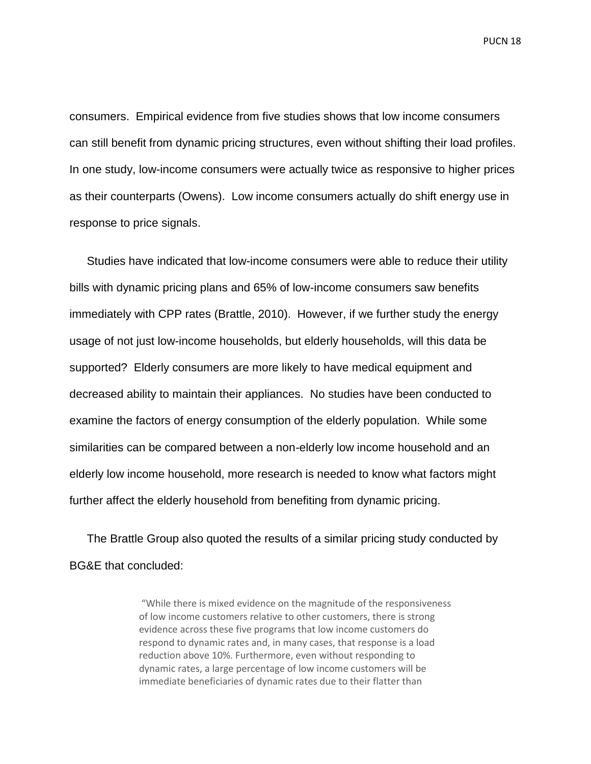consumers. Empirical evidence from five studies shows that low income consumers can still benefit from dynamic pricing structures, even without shifting their load profiles. In one study, low-income consumers were actually twice as responsive to higher prices as their counterparts (Owens). Low income consumers actually do shift energy use in response to price signals.

Studies have indicated that low-income consumers were able to reduce their utility bills with dynamic pricing plans and 65% of low-income consumers saw benefits immediately with CPP rates (Brattle, 2010). However, if we further study the energy usage of not just low-income households, but elderly households, will this data be supported? Elderly consumers are more likely to have medical equipment and decreased ability to maintain their appliances. No studies have been conducted to examine the factors of energy consumption of the elderly population. While some similarities can be compared between a non-elderly low income household and an elderly low income household, more research is needed to know what factors might further affect the elderly household from benefiting from dynamic pricing.

The Brattle Group also quoted the results of a similar pricing study conducted by BG&E that concluded:

> "While there is mixed evidence on the magnitude of the responsiveness of low income customers relative to other customers, there is strong evidence across these five programs that low income customers do respond to dynamic rates and, in many cases, that response is a load reduction above 10%. Furthermore, even without responding to dynamic rates, a large percentage of low income customers will be immediate beneficiaries of dynamic rates due to their flatter than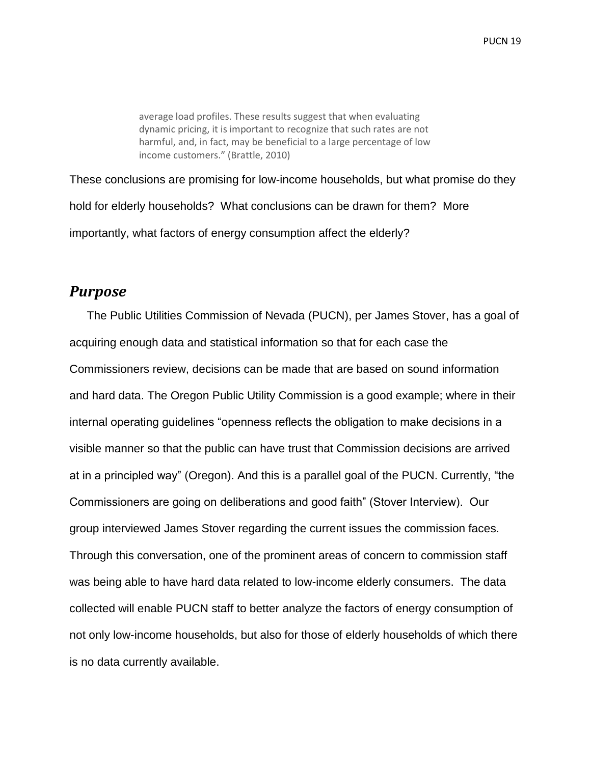average load profiles. These results suggest that when evaluating dynamic pricing, it is important to recognize that such rates are not harmful, and, in fact, may be beneficial to a large percentage of low income customers." (Brattle, 2010)

These conclusions are promising for low-income households, but what promise do they hold for elderly households? What conclusions can be drawn for them? More importantly, what factors of energy consumption affect the elderly?

### <span id="page-19-0"></span>*Purpose*

The Public Utilities Commission of Nevada (PUCN), per James Stover, has a goal of acquiring enough data and statistical information so that for each case the Commissioners review, decisions can be made that are based on sound information and hard data. The Oregon Public Utility Commission is a good example; where in their internal operating guidelines "openness reflects the obligation to make decisions in a visible manner so that the public can have trust that Commission decisions are arrived at in a principled way" [\(Oregon\)](http://www.oregon/). And this is a parallel goal of the PUCN. Currently, "the Commissioners are going on deliberations and good faith‖ (Stover Interview). Our group interviewed James Stover regarding the current issues the commission faces. Through this conversation, one of the prominent areas of concern to commission staff was being able to have hard data related to low-income elderly consumers. The data collected will enable PUCN staff to better analyze the factors of energy consumption of not only low-income households, but also for those of elderly households of which there is no data currently available.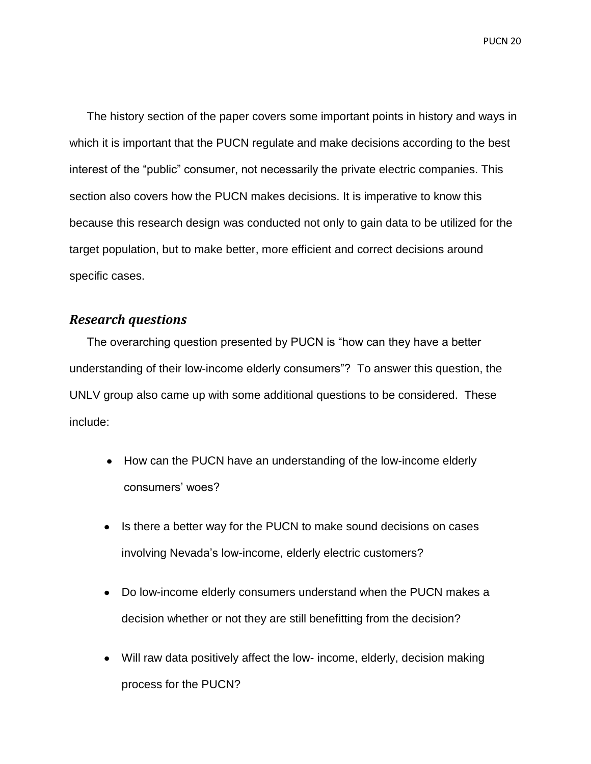The history section of the paper covers some important points in history and ways in which it is important that the PUCN regulate and make decisions according to the best interest of the "public" consumer, not necessarily the private electric companies. This section also covers how the PUCN makes decisions. It is imperative to know this because this research design was conducted not only to gain data to be utilized for the target population, but to make better, more efficient and correct decisions around specific cases.

#### <span id="page-20-0"></span>*Research questions*

The overarching question presented by PUCN is "how can they have a better understanding of their low-income elderly consumers"? To answer this question, the UNLV group also came up with some additional questions to be considered. These include:

- How can the PUCN have an understanding of the low-income elderly consumers' woes?
- Is there a better way for the PUCN to make sound decisions on cases involving Nevada's low-income, elderly electric customers?
- Do low-income elderly consumers understand when the PUCN makes a decision whether or not they are still benefitting from the decision?
- Will raw data positively affect the low- income, elderly, decision making process for the PUCN?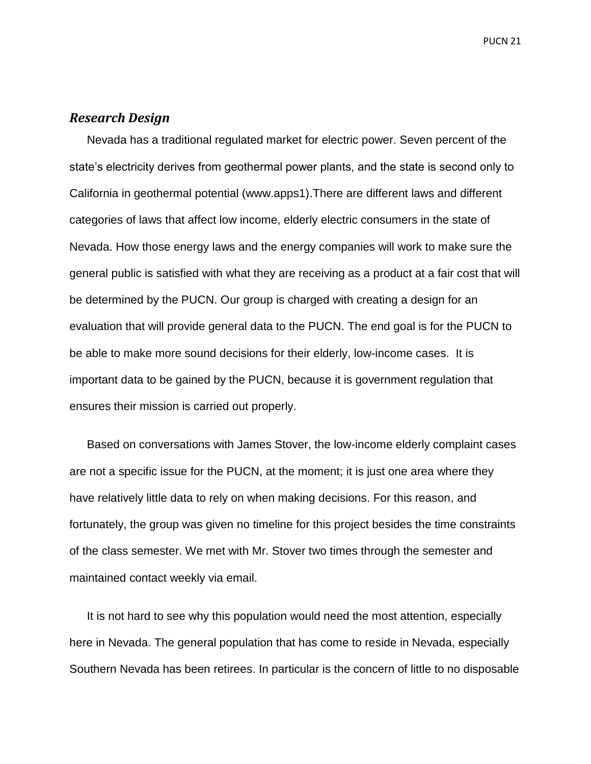#### <span id="page-21-0"></span>*Research Design*

Nevada has a traditional regulated market for electric power. Seven percent of the state's electricity derives from geothermal power plants, and the state is second only to California in geothermal potential (www.apps1).There are different laws and different categories of laws that affect low income, elderly electric consumers in the state of Nevada. How those energy laws and the energy companies will work to make sure the general public is satisfied with what they are receiving as a product at a fair cost that will be determined by the PUCN. Our group is charged with creating a design for an evaluation that will provide general data to the PUCN. The end goal is for the PUCN to be able to make more sound decisions for their elderly, low-income cases. It is important data to be gained by the PUCN, because it is government regulation that ensures their mission is carried out properly.

Based on conversations with James Stover, the low-income elderly complaint cases are not a specific issue for the PUCN, at the moment; it is just one area where they have relatively little data to rely on when making decisions. For this reason, and fortunately, the group was given no timeline for this project besides the time constraints of the class semester. We met with Mr. Stover two times through the semester and maintained contact weekly via email.

It is not hard to see why this population would need the most attention, especially here in Nevada. The general population that has come to reside in Nevada, especially Southern Nevada has been retirees. In particular is the concern of little to no disposable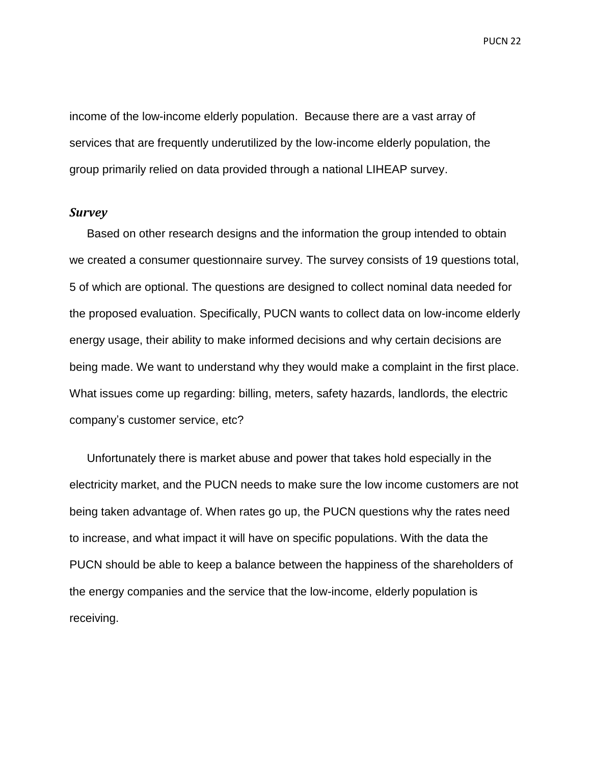income of the low-income elderly population. Because there are a vast array of services that are frequently underutilized by the low-income elderly population, the group primarily relied on data provided through a national LIHEAP survey.

#### <span id="page-22-0"></span>*Survey*

Based on other research designs and the information the group intended to obtain we created a consumer questionnaire survey. The survey consists of 19 questions total, 5 of which are optional. The questions are designed to collect nominal data needed for the proposed evaluation. Specifically, PUCN wants to collect data on low-income elderly energy usage, their ability to make informed decisions and why certain decisions are being made. We want to understand why they would make a complaint in the first place. What issues come up regarding: billing, meters, safety hazards, landlords, the electric company's customer service, etc?

Unfortunately there is market abuse and power that takes hold especially in the electricity market, and the PUCN needs to make sure the low income customers are not being taken advantage of. When rates go up, the PUCN questions why the rates need to increase, and what impact it will have on specific populations. With the data the PUCN should be able to keep a balance between the happiness of the shareholders of the energy companies and the service that the low-income, elderly population is receiving.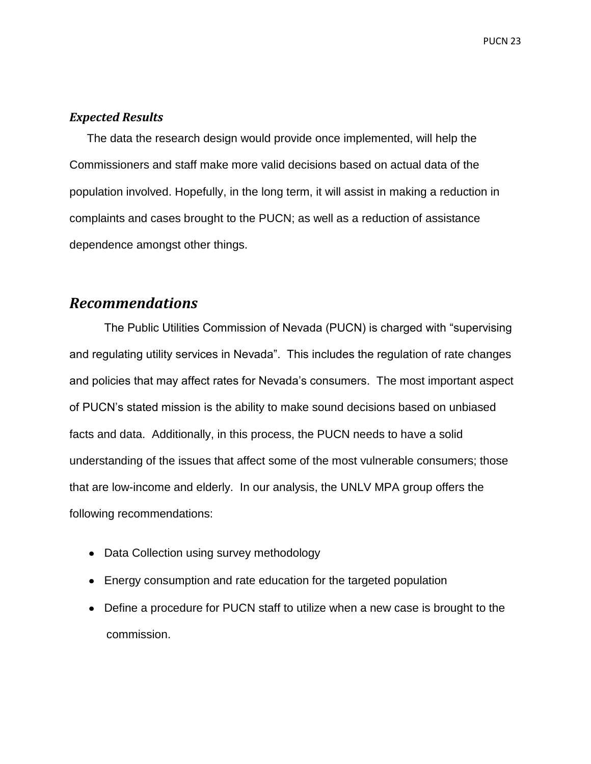#### <span id="page-23-0"></span>*Expected Results*

The data the research design would provide once implemented, will help the Commissioners and staff make more valid decisions based on actual data of the population involved. Hopefully, in the long term, it will assist in making a reduction in complaints and cases brought to the PUCN; as well as a reduction of assistance dependence amongst other things.

# <span id="page-23-1"></span>*Recommendations*

The Public Utilities Commission of Nevada (PUCN) is charged with "supervising and regulating utility services in Nevada". This includes the regulation of rate changes and policies that may affect rates for Nevada's consumers. The most important aspect of PUCN's stated mission is the ability to make sound decisions based on unbiased facts and data. Additionally, in this process, the PUCN needs to have a solid understanding of the issues that affect some of the most vulnerable consumers; those that are low-income and elderly. In our analysis, the UNLV MPA group offers the following recommendations:

- Data Collection using survey methodology
- Energy consumption and rate education for the targeted population
- Define a procedure for PUCN staff to utilize when a new case is brought to the commission.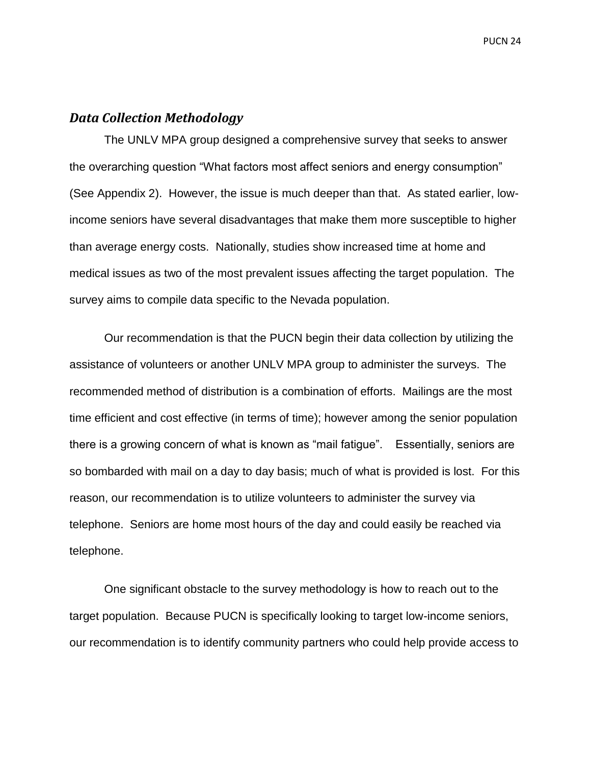#### <span id="page-24-0"></span>*Data Collection Methodology*

The UNLV MPA group designed a comprehensive survey that seeks to answer the overarching question "What factors most affect seniors and energy consumption" (See Appendix 2). However, the issue is much deeper than that. As stated earlier, lowincome seniors have several disadvantages that make them more susceptible to higher than average energy costs. Nationally, studies show increased time at home and medical issues as two of the most prevalent issues affecting the target population. The survey aims to compile data specific to the Nevada population.

Our recommendation is that the PUCN begin their data collection by utilizing the assistance of volunteers or another UNLV MPA group to administer the surveys. The recommended method of distribution is a combination of efforts. Mailings are the most time efficient and cost effective (in terms of time); however among the senior population there is a growing concern of what is known as "mail fatigue". Essentially, seniors are so bombarded with mail on a day to day basis; much of what is provided is lost. For this reason, our recommendation is to utilize volunteers to administer the survey via telephone. Seniors are home most hours of the day and could easily be reached via telephone.

One significant obstacle to the survey methodology is how to reach out to the target population. Because PUCN is specifically looking to target low-income seniors, our recommendation is to identify community partners who could help provide access to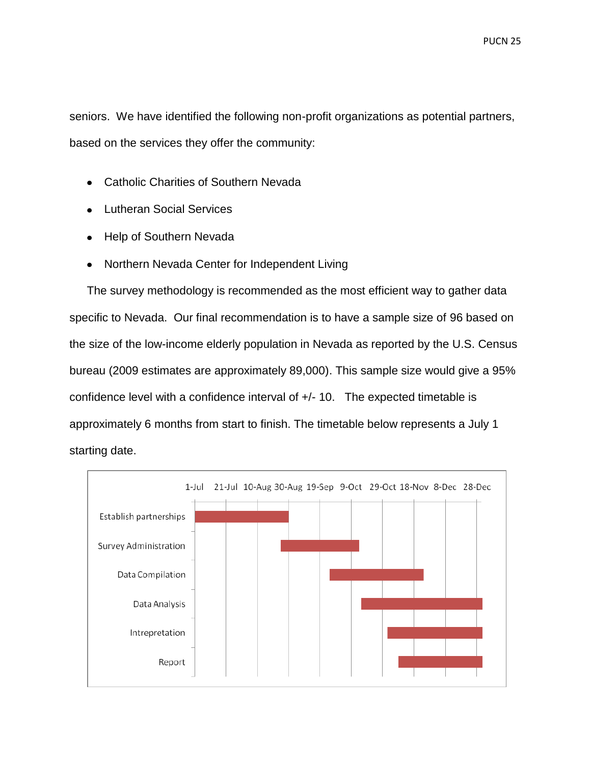seniors. We have identified the following non-profit organizations as potential partners, based on the services they offer the community:

- Catholic Charities of Southern Nevada
- Lutheran Social Services
- Help of Southern Nevada
- Northern Nevada Center for Independent Living

The survey methodology is recommended as the most efficient way to gather data specific to Nevada. Our final recommendation is to have a sample size of 96 based on the size of the low-income elderly population in Nevada as reported by the U.S. Census bureau (2009 estimates are approximately 89,000). This sample size would give a 95% confidence level with a confidence interval of +/- 10. The expected timetable is approximately 6 months from start to finish. The timetable below represents a July 1 starting date.

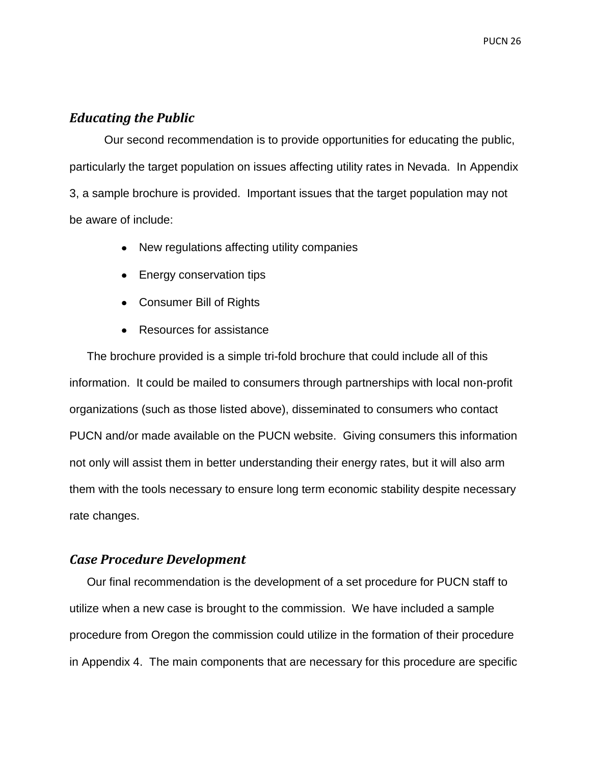#### <span id="page-26-0"></span>*Educating the Public*

Our second recommendation is to provide opportunities for educating the public, particularly the target population on issues affecting utility rates in Nevada. In Appendix 3, a sample brochure is provided. Important issues that the target population may not be aware of include:

- New regulations affecting utility companies  $\bullet$
- Energy conservation tips
- Consumer Bill of Rights
- Resources for assistance

The brochure provided is a simple tri-fold brochure that could include all of this information. It could be mailed to consumers through partnerships with local non-profit organizations (such as those listed above), disseminated to consumers who contact PUCN and/or made available on the PUCN website. Giving consumers this information not only will assist them in better understanding their energy rates, but it will also arm them with the tools necessary to ensure long term economic stability despite necessary rate changes.

#### <span id="page-26-1"></span>*Case Procedure Development*

Our final recommendation is the development of a set procedure for PUCN staff to utilize when a new case is brought to the commission. We have included a sample procedure from Oregon the commission could utilize in the formation of their procedure in Appendix 4. The main components that are necessary for this procedure are specific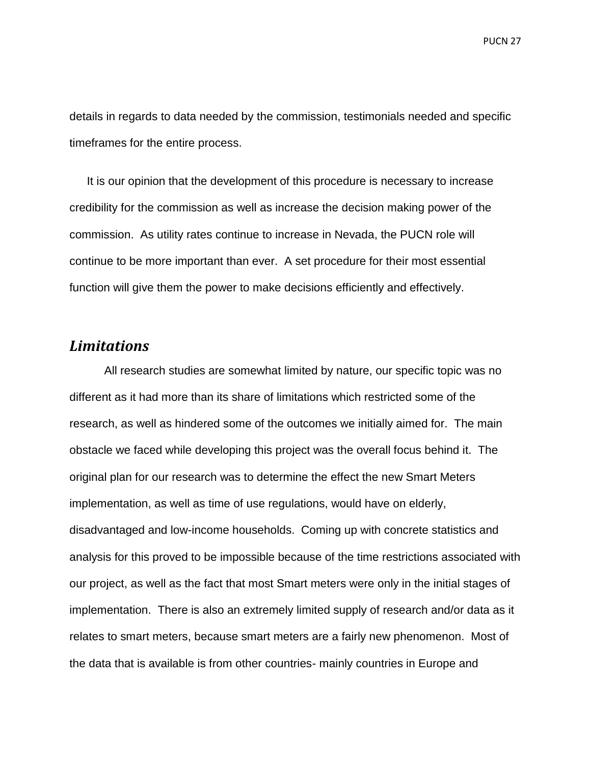details in regards to data needed by the commission, testimonials needed and specific timeframes for the entire process.

It is our opinion that the development of this procedure is necessary to increase credibility for the commission as well as increase the decision making power of the commission. As utility rates continue to increase in Nevada, the PUCN role will continue to be more important than ever. A set procedure for their most essential function will give them the power to make decisions efficiently and effectively.

# <span id="page-27-0"></span>*Limitations*

All research studies are somewhat limited by nature, our specific topic was no different as it had more than its share of limitations which restricted some of the research, as well as hindered some of the outcomes we initially aimed for. The main obstacle we faced while developing this project was the overall focus behind it. The original plan for our research was to determine the effect the new Smart Meters implementation, as well as time of use regulations, would have on elderly, disadvantaged and low-income households. Coming up with concrete statistics and analysis for this proved to be impossible because of the time restrictions associated with our project, as well as the fact that most Smart meters were only in the initial stages of implementation. There is also an extremely limited supply of research and/or data as it relates to smart meters, because smart meters are a fairly new phenomenon. Most of the data that is available is from other countries- mainly countries in Europe and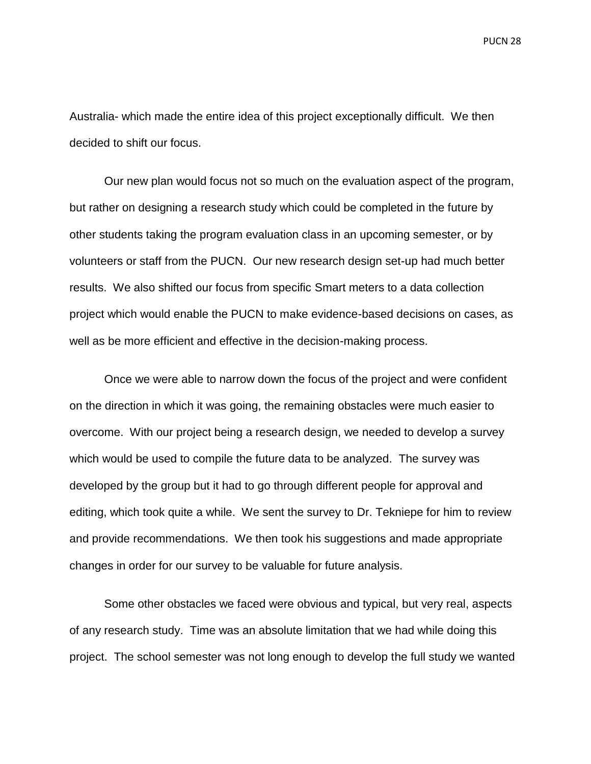Australia- which made the entire idea of this project exceptionally difficult. We then decided to shift our focus.

Our new plan would focus not so much on the evaluation aspect of the program, but rather on designing a research study which could be completed in the future by other students taking the program evaluation class in an upcoming semester, or by volunteers or staff from the PUCN. Our new research design set-up had much better results. We also shifted our focus from specific Smart meters to a data collection project which would enable the PUCN to make evidence-based decisions on cases, as well as be more efficient and effective in the decision-making process.

Once we were able to narrow down the focus of the project and were confident on the direction in which it was going, the remaining obstacles were much easier to overcome. With our project being a research design, we needed to develop a survey which would be used to compile the future data to be analyzed. The survey was developed by the group but it had to go through different people for approval and editing, which took quite a while. We sent the survey to Dr. Tekniepe for him to review and provide recommendations. We then took his suggestions and made appropriate changes in order for our survey to be valuable for future analysis.

Some other obstacles we faced were obvious and typical, but very real, aspects of any research study. Time was an absolute limitation that we had while doing this project. The school semester was not long enough to develop the full study we wanted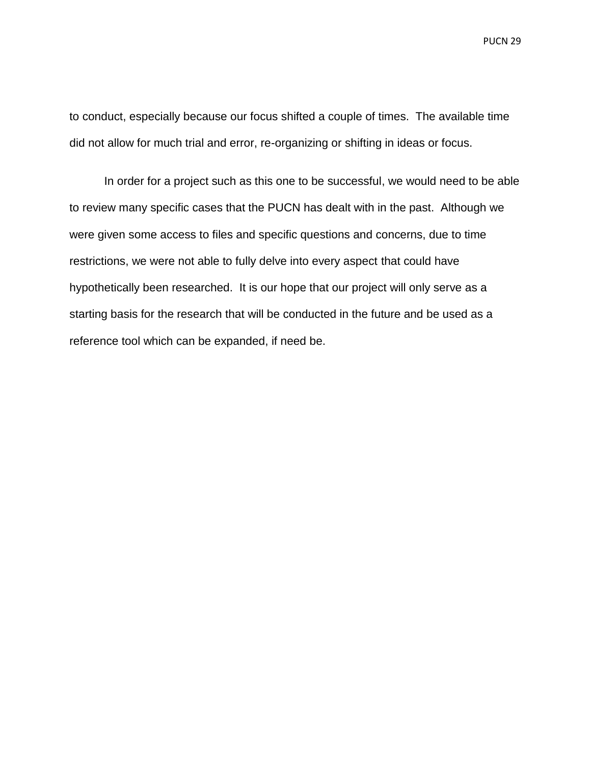to conduct, especially because our focus shifted a couple of times. The available time did not allow for much trial and error, re-organizing or shifting in ideas or focus.

In order for a project such as this one to be successful, we would need to be able to review many specific cases that the PUCN has dealt with in the past. Although we were given some access to files and specific questions and concerns, due to time restrictions, we were not able to fully delve into every aspect that could have hypothetically been researched. It is our hope that our project will only serve as a starting basis for the research that will be conducted in the future and be used as a reference tool which can be expanded, if need be.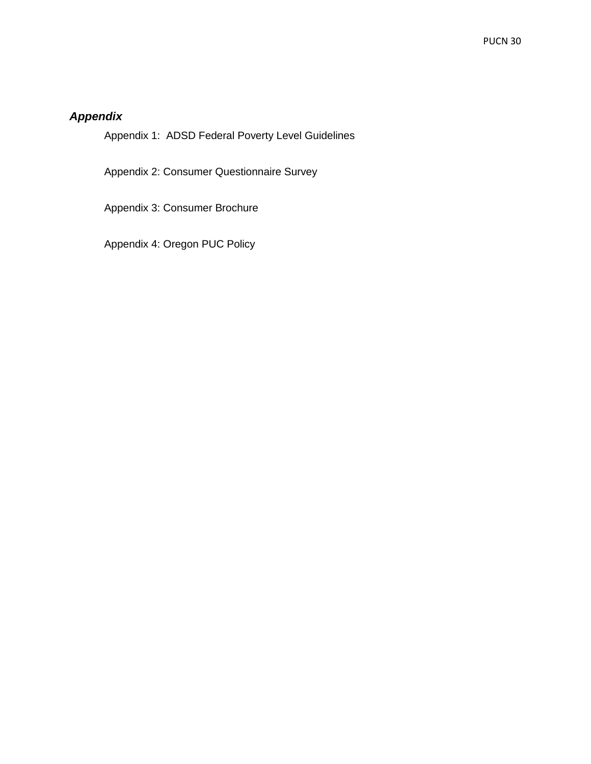## <span id="page-30-0"></span>*Appendix*

Appendix 1: ADSD Federal Poverty Level Guidelines

Appendix 2: Consumer Questionnaire Survey

Appendix 3: Consumer Brochure

Appendix 4: Oregon PUC Policy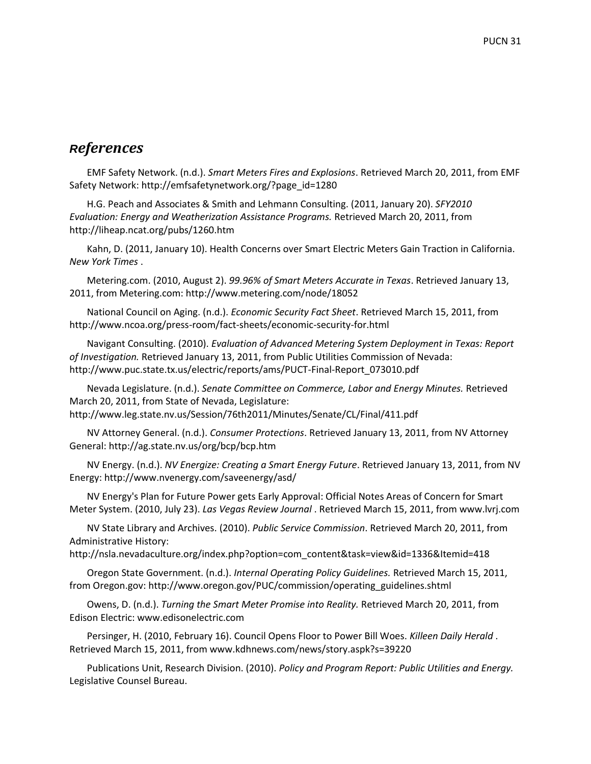## <span id="page-31-0"></span>*References*

EMF Safety Network. (n.d.). *Smart Meters Fires and Explosions*. Retrieved March 20, 2011, from EMF Safety Network: http://emfsafetynetwork.org/?page\_id=1280

H.G. Peach and Associates & Smith and Lehmann Consulting. (2011, January 20). *SFY2010 Evaluation: Energy and Weatherization Assistance Programs.* Retrieved March 20, 2011, from http://liheap.ncat.org/pubs/1260.htm

Kahn, D. (2011, January 10). Health Concerns over Smart Electric Meters Gain Traction in California. *New York Times* .

Metering.com. (2010, August 2). *99.96% of Smart Meters Accurate in Texas*. Retrieved January 13, 2011, from Metering.com: http://www.metering.com/node/18052

National Council on Aging. (n.d.). *Economic Security Fact Sheet*. Retrieved March 15, 2011, from http://www.ncoa.org/press-room/fact-sheets/economic-security-for.html

Navigant Consulting. (2010). *Evaluation of Advanced Metering System Deployment in Texas: Report of Investigation.* Retrieved January 13, 2011, from Public Utilities Commission of Nevada: http://www.puc.state.tx.us/electric/reports/ams/PUCT-Final-Report\_073010.pdf

Nevada Legislature. (n.d.). *Senate Committee on Commerce, Labor and Energy Minutes.* Retrieved March 20, 2011, from State of Nevada, Legislature: http://www.leg.state.nv.us/Session/76th2011/Minutes/Senate/CL/Final/411.pdf

NV Attorney General. (n.d.). *Consumer Protections*. Retrieved January 13, 2011, from NV Attorney General: http://ag.state.nv.us/org/bcp/bcp.htm

NV Energy. (n.d.). *NV Energize: Creating a Smart Energy Future*. Retrieved January 13, 2011, from NV Energy: http://www.nvenergy.com/saveenergy/asd/

NV Energy's Plan for Future Power gets Early Approval: Official Notes Areas of Concern for Smart Meter System. (2010, July 23). *Las Vegas Review Journal* . Retrieved March 15, 2011, from www.lvrj.com

NV State Library and Archives. (2010). *Public Service Commission*. Retrieved March 20, 2011, from Administrative History:

http://nsla.nevadaculture.org/index.php?option=com\_content&task=view&id=1336&Itemid=418

Oregon State Government. (n.d.). *Internal Operating Policy Guidelines.* Retrieved March 15, 2011, from Oregon.gov: http://www.oregon.gov/PUC/commission/operating\_guidelines.shtml

Owens, D. (n.d.). *Turning the Smart Meter Promise into Reality.* Retrieved March 20, 2011, from Edison Electric: www.edisonelectric.com

Persinger, H. (2010, February 16). Council Opens Floor to Power Bill Woes. *Killeen Daily Herald* . Retrieved March 15, 2011, from www.kdhnews.com/news/story.aspk?s=39220

Publications Unit, Research Division. (2010). *Policy and Program Report: Public Utilities and Energy.* Legislative Counsel Bureau.